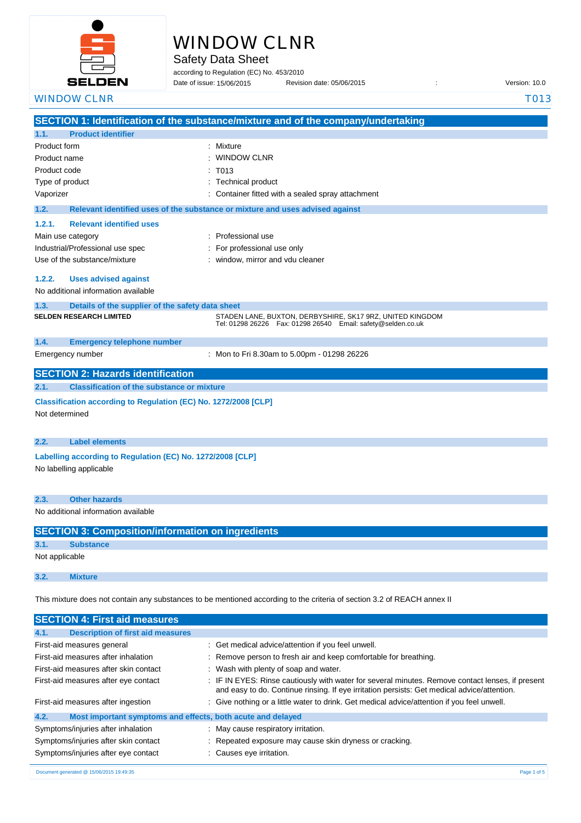

# WINDOW CLNR

Safety Data Sheet

according to Regulation (EC) No. 453/2010

Date of issue: 15/06/2015

Date of issue: Revision date: 05/06/2015 : Version: 10.0

|                 | <b>WINDOW CLNR</b>                                              | <b>T013</b>                                                                                                                     |
|-----------------|-----------------------------------------------------------------|---------------------------------------------------------------------------------------------------------------------------------|
|                 |                                                                 | SECTION 1: Identification of the substance/mixture and of the company/undertaking                                               |
| 1.1.            | <b>Product identifier</b>                                       |                                                                                                                                 |
| Product form    |                                                                 | Mixture<br>÷.                                                                                                                   |
| Product name    |                                                                 | <b>WINDOW CLNR</b>                                                                                                              |
| Product code    |                                                                 | T013                                                                                                                            |
| Type of product |                                                                 | <b>Technical product</b>                                                                                                        |
| Vaporizer       |                                                                 | Container fitted with a sealed spray attachment                                                                                 |
| 1.2.            |                                                                 | Relevant identified uses of the substance or mixture and uses advised against                                                   |
| 1.2.1.          | <b>Relevant identified uses</b>                                 |                                                                                                                                 |
|                 | Main use category                                               | Professional use                                                                                                                |
|                 | Industrial/Professional use spec                                | For professional use only                                                                                                       |
|                 | Use of the substance/mixture                                    | window, mirror and vdu cleaner                                                                                                  |
|                 |                                                                 |                                                                                                                                 |
| 1.2.2.          | <b>Uses advised against</b>                                     |                                                                                                                                 |
|                 | No additional information available                             |                                                                                                                                 |
| 1.3.            | Details of the supplier of the safety data sheet                |                                                                                                                                 |
|                 | <b>SELDEN RESEARCH LIMITED</b>                                  | STADEN LANE, BUXTON, DERBYSHIRE, SK17 9RZ, UNITED KINGDOM<br>Tel: 01298 26226    Fax: 01298 26540    Email: safety@selden.co.uk |
|                 |                                                                 |                                                                                                                                 |
| 1.4.            | <b>Emergency telephone number</b>                               |                                                                                                                                 |
|                 | Emergency number                                                | : Mon to Fri 8.30am to 5.00pm - 01298 26226                                                                                     |
|                 | <b>SECTION 2: Hazards identification</b>                        |                                                                                                                                 |
|                 |                                                                 |                                                                                                                                 |
| 2.1.            | <b>Classification of the substance or mixture</b>               |                                                                                                                                 |
|                 | Classification according to Regulation (EC) No. 1272/2008 [CLP] |                                                                                                                                 |
| Not determined  |                                                                 |                                                                                                                                 |
|                 |                                                                 |                                                                                                                                 |
| 2.2.            | <b>Label elements</b>                                           |                                                                                                                                 |
|                 | Labelling according to Regulation (EC) No. 1272/2008 [CLP]      |                                                                                                                                 |
|                 | No labelling applicable                                         |                                                                                                                                 |
|                 |                                                                 |                                                                                                                                 |
|                 |                                                                 |                                                                                                                                 |
| 2.3.            | <b>Other hazards</b>                                            |                                                                                                                                 |
|                 | No additional information available                             |                                                                                                                                 |
|                 | <b>SECTION 3: Composition/information on ingredients</b>        |                                                                                                                                 |
| 3.1.            | <b>Substance</b>                                                |                                                                                                                                 |
| Not applicable  |                                                                 |                                                                                                                                 |
|                 |                                                                 |                                                                                                                                 |
| 3.2.            | <b>Mixture</b>                                                  |                                                                                                                                 |
|                 |                                                                 |                                                                                                                                 |
|                 |                                                                 | This mixture does not contain any substances to be mentioned according to the criteria of section 3.2 of REACH annex II         |
|                 | <b>SECTION 4: First aid measures</b>                            |                                                                                                                                 |
| 4.1.            | <b>Description of first aid measures</b>                        |                                                                                                                                 |
|                 | First-aid measures general                                      | Get medical advice/attention if you feel unwell.                                                                                |
|                 | First-aid measures after inhalation                             | Remove person to fresh air and keep comfortable for breathing.                                                                  |
|                 | First-aid measures after skin contact                           | Wash with plenty of soap and water.                                                                                             |
|                 | First-aid measures after eye contact                            | IF IN EYES: Rinse cautiously with water for several minutes. Remove contact lenses, if present                                  |
|                 |                                                                 | and easy to do. Continue rinsing. If eye irritation persists: Get medical advice/attention.                                     |
|                 | First-aid measures after ingestion                              | : Give nothing or a little water to drink. Get medical advice/attention if you feel unwell.                                     |
| 4.2.            | Most important symptoms and effects, both acute and delayed     |                                                                                                                                 |
|                 | Symptoms/injuries after inhalation                              | May cause respiratory irritation.                                                                                               |
|                 | Symptoms/injuries after skin contact                            | : Repeated exposure may cause skin dryness or cracking.                                                                         |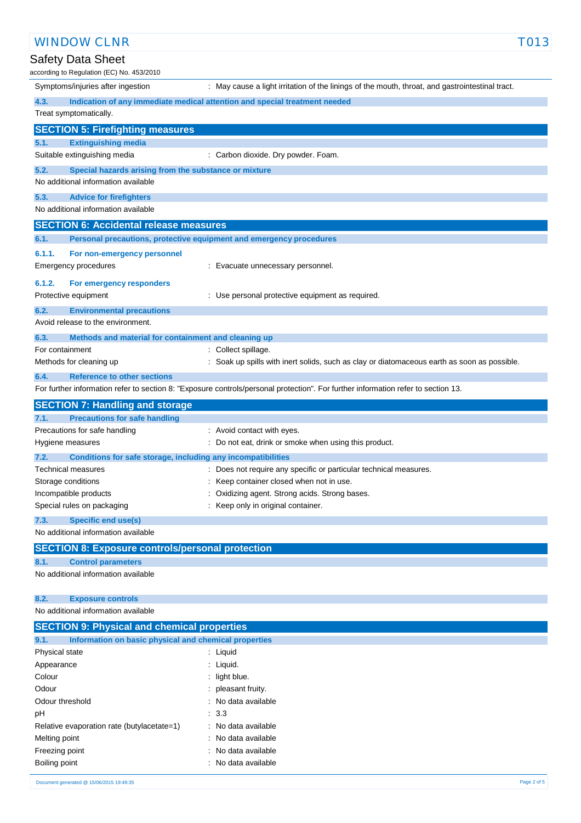| <b>WINDOW CLNR</b>                                                            | T013                                                                                                                              |
|-------------------------------------------------------------------------------|-----------------------------------------------------------------------------------------------------------------------------------|
| <b>Safety Data Sheet</b>                                                      |                                                                                                                                   |
| according to Regulation (EC) No. 453/2010                                     |                                                                                                                                   |
| Symptoms/injuries after ingestion                                             | : May cause a light irritation of the linings of the mouth, throat, and gastrointestinal tract.                                   |
| 4.3.<br>Treat symptomatically.                                                | Indication of any immediate medical attention and special treatment needed                                                        |
|                                                                               |                                                                                                                                   |
| <b>SECTION 5: Firefighting measures</b>                                       |                                                                                                                                   |
| 5.1.<br><b>Extinguishing media</b><br>Suitable extinguishing media            | : Carbon dioxide. Dry powder. Foam.                                                                                               |
| 5.2.<br>Special hazards arising from the substance or mixture                 |                                                                                                                                   |
| No additional information available                                           |                                                                                                                                   |
| 5.3.<br><b>Advice for firefighters</b>                                        |                                                                                                                                   |
| No additional information available                                           |                                                                                                                                   |
| <b>SECTION 6: Accidental release measures</b>                                 |                                                                                                                                   |
| 6.1.                                                                          | Personal precautions, protective equipment and emergency procedures                                                               |
| 6.1.1.<br>For non-emergency personnel                                         |                                                                                                                                   |
| <b>Emergency procedures</b>                                                   | : Evacuate unnecessary personnel.                                                                                                 |
| 6.1.2.<br>For emergency responders                                            |                                                                                                                                   |
| Protective equipment                                                          | : Use personal protective equipment as required.                                                                                  |
| 6.2.<br><b>Environmental precautions</b>                                      |                                                                                                                                   |
| Avoid release to the environment.                                             |                                                                                                                                   |
| 6.3.<br>Methods and material for containment and cleaning up                  |                                                                                                                                   |
| For containment                                                               | : Collect spillage.                                                                                                               |
| Methods for cleaning up                                                       | Soak up spills with inert solids, such as clay or diatomaceous earth as soon as possible.                                         |
| 6.4.<br><b>Reference to other sections</b>                                    |                                                                                                                                   |
|                                                                               | For further information refer to section 8: "Exposure controls/personal protection". For further information refer to section 13. |
| <b>SECTION 7: Handling and storage</b>                                        |                                                                                                                                   |
| <b>Precautions for safe handling</b><br>7.1.<br>Precautions for safe handling | : Avoid contact with eyes.                                                                                                        |
| Hygiene measures                                                              | : Do not eat, drink or smoke when using this product.                                                                             |
| 7.2.<br>Conditions for safe storage, including any incompatibilities          |                                                                                                                                   |
| Technical measures                                                            | : Does not require any specific or particular technical measures.                                                                 |
| Storage conditions                                                            | Keep container closed when not in use.                                                                                            |
| Incompatible products                                                         | Oxidizing agent. Strong acids. Strong bases.                                                                                      |
| Special rules on packaging                                                    | Keep only in original container.                                                                                                  |
| 7.3.<br><b>Specific end use(s)</b>                                            |                                                                                                                                   |
| No additional information available                                           |                                                                                                                                   |
| <b>SECTION 8: Exposure controls/personal protection</b>                       |                                                                                                                                   |
| <b>Control parameters</b><br>8.1.<br>No additional information available      |                                                                                                                                   |
|                                                                               |                                                                                                                                   |
| 8.2.<br><b>Exposure controls</b>                                              |                                                                                                                                   |
| No additional information available                                           |                                                                                                                                   |
| <b>SECTION 9: Physical and chemical properties</b>                            |                                                                                                                                   |
| Information on basic physical and chemical properties<br>9.1.                 |                                                                                                                                   |
| Physical state                                                                | : Liquid                                                                                                                          |
| Appearance                                                                    | Liquid.                                                                                                                           |
| Colour                                                                        | light blue.                                                                                                                       |
| Odour                                                                         | pleasant fruity.                                                                                                                  |
| Odour threshold                                                               | No data available                                                                                                                 |
| pH                                                                            | 3.3                                                                                                                               |
| Relative evaporation rate (butylacetate=1)                                    | No data available                                                                                                                 |
| Melting point                                                                 | No data available                                                                                                                 |
| Freezing point<br>Boiling point                                               | No data available<br>No data available                                                                                            |
|                                                                               |                                                                                                                                   |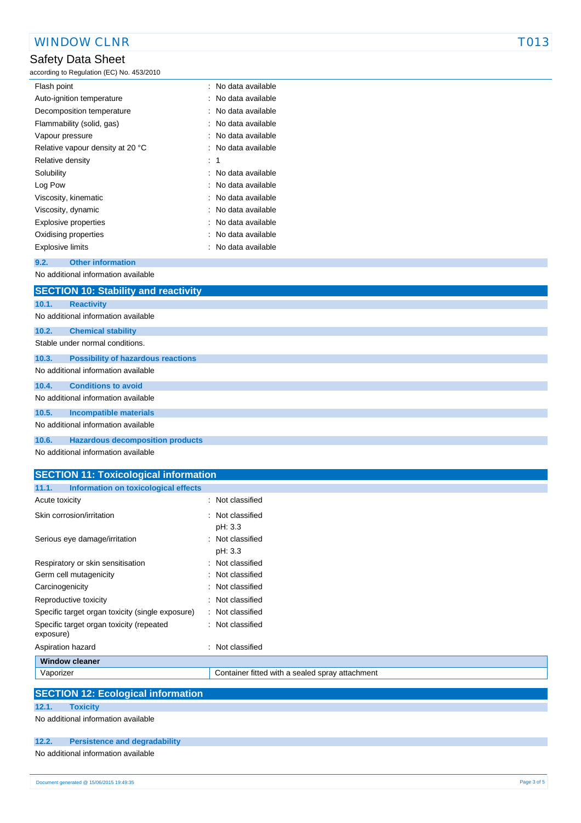## Safety Data Sheet

according to Regulation (EC) No. 453/2010

| Flash point                      |   | : No data available |
|----------------------------------|---|---------------------|
| Auto-ignition temperature        |   | No data available   |
| Decomposition temperature        |   | : No data available |
| Flammability (solid, gas)        |   | No data available   |
| Vapour pressure                  |   | : No data available |
| Relative vapour density at 20 °C |   | No data available   |
| Relative density                 |   | : 1                 |
| Solubility                       |   | No data available   |
| Log Pow                          |   | No data available   |
| Viscosity, kinematic             |   | : No data available |
| Viscosity, dynamic               |   | : No data available |
| Explosive properties             | ٠ | No data available   |
| Oxidising properties             |   | No data available   |
| Explosive limits                 |   | No data available   |

### **9.2. Other information**

No additional information available

| <b>SECTION 10: Stability and reactivity</b> |
|---------------------------------------------|
| <b>Reactivity</b>                           |
| No additional information available         |
| <b>Chemical stability</b>                   |
| Stable under normal conditions.             |
| <b>Possibility of hazardous reactions</b>   |
| No additional information available         |
| <b>Conditions to avoid</b>                  |
| No additional information available         |
| <b>Incompatible materials</b>               |
| No additional information available         |
| <b>Hazardous decomposition products</b>     |
|                                             |

No additional information available

| <b>SECTION 11: Toxicological information</b>          |                                                 |
|-------------------------------------------------------|-------------------------------------------------|
| 11.1.<br>Information on toxicological effects         |                                                 |
| Acute toxicity                                        | : Not classified                                |
| Skin corrosion/irritation                             | : Not classified<br>pH: 3.3                     |
| Serious eye damage/irritation                         | : Not classified<br>pH: 3.3                     |
| Respiratory or skin sensitisation                     | : Not classified                                |
| Germ cell mutagenicity                                | : Not classified                                |
| Carcinogenicity                                       | : Not classified                                |
| Reproductive toxicity                                 | : Not classified                                |
| Specific target organ toxicity (single exposure)      | : Not classified                                |
| Specific target organ toxicity (repeated<br>exposure) | : Not classified                                |
| Aspiration hazard                                     | : Not classified                                |
| <b>Window cleaner</b>                                 |                                                 |
| Vaporizer                                             | Container fitted with a sealed spray attachment |

| <b>SECTION 12: Ecological information</b> |  |
|-------------------------------------------|--|
|-------------------------------------------|--|

**12.1. Toxicity**

No additional information available

### **12.2. Persistence and degradability**

No additional information available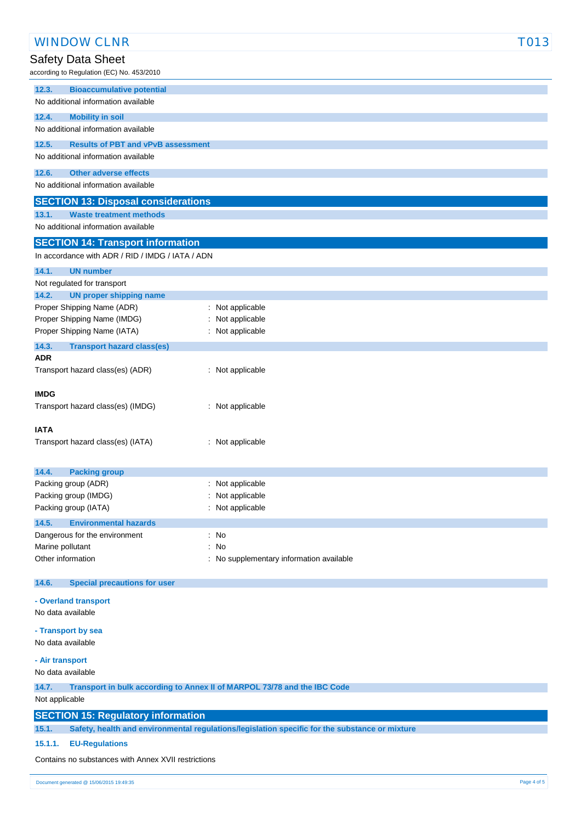| <b>WINDOW CLNR</b>                                                    |                                                                                                | <b>T013</b> |
|-----------------------------------------------------------------------|------------------------------------------------------------------------------------------------|-------------|
| Safety Data Sheet                                                     |                                                                                                |             |
| according to Regulation (EC) No. 453/2010                             |                                                                                                |             |
| 12.3.<br><b>Bioaccumulative potential</b>                             |                                                                                                |             |
| No additional information available                                   |                                                                                                |             |
| 12.4.<br><b>Mobility in soil</b>                                      |                                                                                                |             |
| No additional information available                                   |                                                                                                |             |
| 12.5.<br><b>Results of PBT and vPvB assessment</b>                    |                                                                                                |             |
| No additional information available                                   |                                                                                                |             |
| 12.6.<br><b>Other adverse effects</b>                                 |                                                                                                |             |
| No additional information available                                   |                                                                                                |             |
| <b>SECTION 13: Disposal considerations</b>                            |                                                                                                |             |
| 13.1.<br><b>Waste treatment methods</b>                               |                                                                                                |             |
| No additional information available                                   |                                                                                                |             |
| <b>SECTION 14: Transport information</b>                              |                                                                                                |             |
| In accordance with ADR / RID / IMDG / IATA / ADN                      |                                                                                                |             |
| 14.1.<br><b>UN number</b>                                             |                                                                                                |             |
| Not regulated for transport                                           |                                                                                                |             |
| 14.2.<br><b>UN proper shipping name</b><br>Proper Shipping Name (ADR) | : Not applicable                                                                               |             |
| Proper Shipping Name (IMDG)                                           | Not applicable<br>t.                                                                           |             |
| Proper Shipping Name (IATA)                                           | : Not applicable                                                                               |             |
| 14.3.<br><b>Transport hazard class(es)</b>                            |                                                                                                |             |
| <b>ADR</b>                                                            |                                                                                                |             |
| Transport hazard class(es) (ADR)                                      | : Not applicable                                                                               |             |
|                                                                       |                                                                                                |             |
| <b>IMDG</b>                                                           |                                                                                                |             |
| Transport hazard class(es) (IMDG)                                     | : Not applicable                                                                               |             |
| <b>IATA</b>                                                           |                                                                                                |             |
| Transport hazard class(es) (IATA)                                     | : Not applicable                                                                               |             |
|                                                                       |                                                                                                |             |
| 14.4.<br><b>Packing group</b>                                         |                                                                                                |             |
| Packing group (ADR)                                                   | : Not applicable                                                                               |             |
| Packing group (IMDG)                                                  | Not applicable                                                                                 |             |
| Packing group (IATA)                                                  | Not applicable                                                                                 |             |
| 14.5.<br><b>Environmental hazards</b>                                 |                                                                                                |             |
| Dangerous for the environment                                         | $:$ No                                                                                         |             |
| Marine pollutant                                                      | : No                                                                                           |             |
| Other information                                                     | : No supplementary information available                                                       |             |
| 14.6.<br><b>Special precautions for user</b>                          |                                                                                                |             |
|                                                                       |                                                                                                |             |
| - Overland transport<br>No data available                             |                                                                                                |             |
|                                                                       |                                                                                                |             |
| - Transport by sea<br>No data available                               |                                                                                                |             |
|                                                                       |                                                                                                |             |
| - Air transport                                                       |                                                                                                |             |
| No data available                                                     |                                                                                                |             |
| 14.7.                                                                 | Transport in bulk according to Annex II of MARPOL 73/78 and the IBC Code                       |             |
| Not applicable                                                        |                                                                                                |             |
| <b>SECTION 15: Regulatory information</b>                             |                                                                                                |             |
| 15.1.                                                                 | Safety, health and environmental regulations/legislation specific for the substance or mixture |             |
| 15.1.1.<br><b>EU-Regulations</b>                                      |                                                                                                |             |

Contains no substances with Annex XVII restrictions